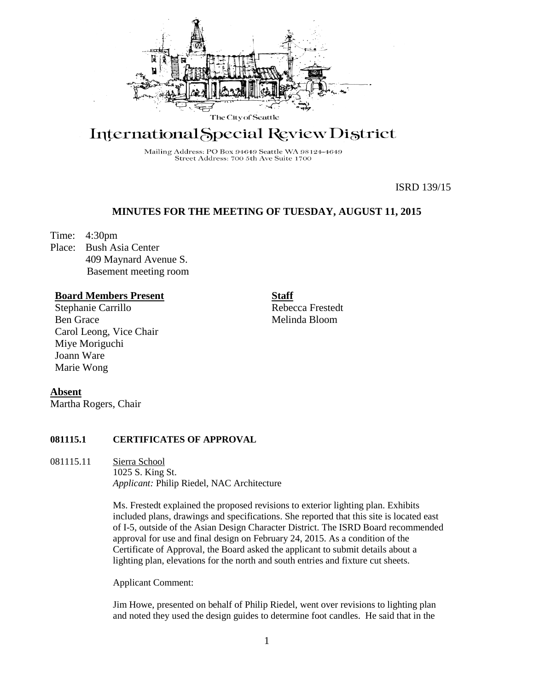

# International Special Review District

Mailing Address: PO Box 94649 Seattle WA 98124-4649 Street Address: 700 5th Ave Suite 1700

ISRD 139/15

## **MINUTES FOR THE MEETING OF TUESDAY, AUGUST 11, 2015**

Time: 4:30pm

Place: Bush Asia Center 409 Maynard Avenue S. Basement meeting room

## **Board Members Present**

Stephanie Carrillo Ben Grace Carol Leong, Vice Chair Miye Moriguchi Joann Ware Marie Wong

**Staff** Rebecca Frestedt Melinda Bloom

**Absent**

Martha Rogers, Chair

#### **081115.1 CERTIFICATES OF APPROVAL**

081115.11 Sierra School

1025 S. King St. *Applicant:* Philip Riedel, NAC Architecture

Ms. Frestedt explained the proposed revisions to exterior lighting plan. Exhibits included plans, drawings and specifications. She reported that this site is located east of I-5, outside of the Asian Design Character District. The ISRD Board recommended approval for use and final design on February 24, 2015. As a condition of the Certificate of Approval, the Board asked the applicant to submit details about a lighting plan, elevations for the north and south entries and fixture cut sheets.

Applicant Comment:

Jim Howe, presented on behalf of Philip Riedel, went over revisions to lighting plan and noted they used the design guides to determine foot candles. He said that in the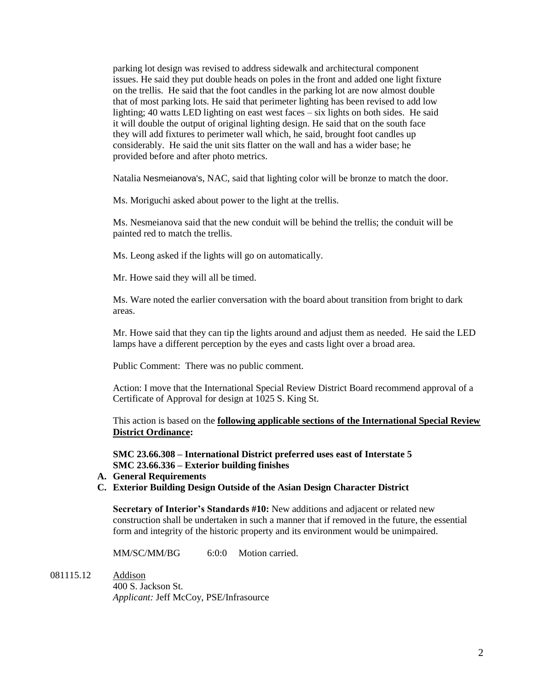parking lot design was revised to address sidewalk and architectural component issues. He said they put double heads on poles in the front and added one light fixture on the trellis. He said that the foot candles in the parking lot are now almost double that of most parking lots. He said that perimeter lighting has been revised to add low lighting; 40 watts LED lighting on east west faces – six lights on both sides. He said it will double the output of original lighting design. He said that on the south face they will add fixtures to perimeter wall which, he said, brought foot candles up considerably. He said the unit sits flatter on the wall and has a wider base; he provided before and after photo metrics.

Natalia Nesmeianova's, NAC, said that lighting color will be bronze to match the door.

Ms. Moriguchi asked about power to the light at the trellis.

Ms. Nesmeianova said that the new conduit will be behind the trellis; the conduit will be painted red to match the trellis.

Ms. Leong asked if the lights will go on automatically.

Mr. Howe said they will all be timed.

Ms. Ware noted the earlier conversation with the board about transition from bright to dark areas.

Mr. Howe said that they can tip the lights around and adjust them as needed. He said the LED lamps have a different perception by the eyes and casts light over a broad area.

Public Comment: There was no public comment.

Action: I move that the International Special Review District Board recommend approval of a Certificate of Approval for design at 1025 S. King St.

This action is based on the **following applicable sections of the International Special Review District Ordinance:** 

**SMC 23.66.308 – International District preferred uses east of Interstate 5 SMC 23.66.336 – Exterior building finishes**

- **A. General Requirements**
- **C. Exterior Building Design Outside of the Asian Design Character District**

**Secretary of Interior's Standards #10:** New additions and adjacent or related new construction shall be undertaken in such a manner that if removed in the future, the essential form and integrity of the historic property and its environment would be unimpaired.

MM/SC/MM/BG 6:0:0 Motion carried.

081115.12 Addison

400 S. Jackson St. *Applicant:* Jeff McCoy, PSE/Infrasource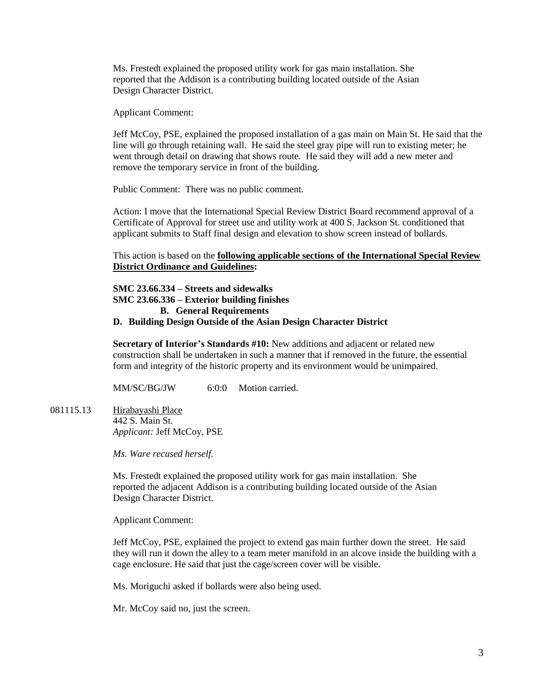Ms. Frestedt explained the proposed utility work for gas main installation. She reported that the Addison is a contributing building located outside of the Asian Design Character District.

Applicant Comment:

Jeff McCoy, PSE, explained the proposed installation of a gas main on Main St. He said that the line will go through retaining wall. He said the steel gray pipe will run to existing meter; he went through detail on drawing that shows route. He said they will add a new meter and remove the temporary service in front of the building.

Public Comment: There was no public comment.

Action: I move that the International Special Review District Board recommend approval of a Certificate of Approval for street use and utility work at 400 S. Jackson St. conditioned that applicant submits to Staff final design and elevation to show screen instead of bollards.

This action is based on the **following applicable sections of the International Special Review District Ordinance and Guidelines:** 

**SMC 23.66.334 – Streets and sidewalks SMC 23.66.336 – Exterior building finishes B. General Requirements**

#### **D. Building Design Outside of the Asian Design Character District**

**Secretary of Interior's Standards #10:** New additions and adjacent or related new construction shall be undertaken in such a manner that if removed in the future, the essential form and integrity of the historic property and its environment would be unimpaired.

MM/SC/BG/JW 6:0:0 Motion carried.

081115.13 Hirabayashi Place 442 S. Main St. *Applicant:* Jeff McCoy, PSE

*Ms. Ware recused herself.*

Ms. Frestedt explained the proposed utility work for gas main installation. She reported the adjacent Addison is a contributing building located outside of the Asian Design Character District.

Applicant Comment:

Jeff McCoy, PSE, explained the project to extend gas main further down the street. He said they will run it down the alley to a team meter manifold in an alcove inside the building with a cage enclosure. He said that just the cage/screen cover will be visible.

Ms. Moriguchi asked if bollards were also being used.

Mr. McCoy said no, just the screen.